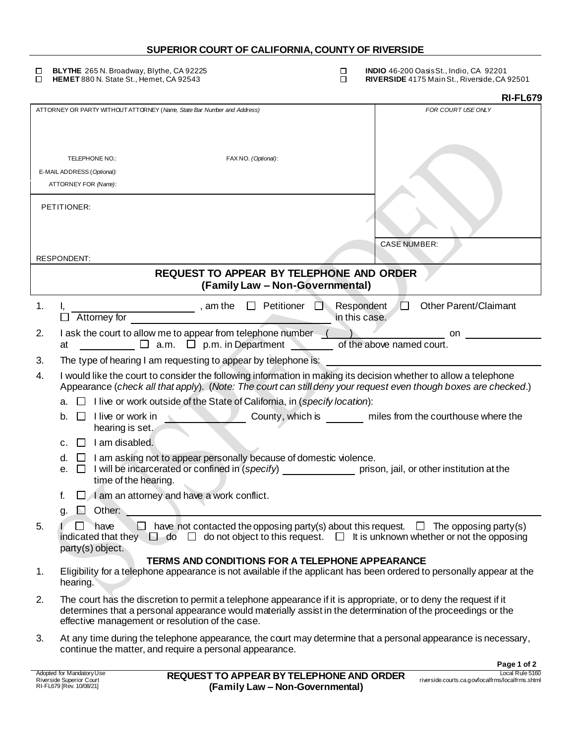## **SUPERIOR COURT OF CALIFORNIA, COUNTY OF RIVERSIDE**

 $\Box$ **BLYTHE** 265 N. Broadway, Blythe, CA 92225<br> **HEMET** 880 N. State St., Hemet, CA 92543 **Data St.** CO **INDIO** 46-200 Oasis St., Indio, CA 92201<br>**RIVERSIDE** 4175 Main St., Riverside, CA 92501  $\Box$ 

|    |                                                                                                                                                                                                                                                                                     | <b>RI-FL679</b>                                                                                  |
|----|-------------------------------------------------------------------------------------------------------------------------------------------------------------------------------------------------------------------------------------------------------------------------------------|--------------------------------------------------------------------------------------------------|
|    | ATTORNEY OR PARTY WITHOUT ATTORNEY (Name, State Bar Number and Address)                                                                                                                                                                                                             | FOR COURT USE ONLY                                                                               |
|    |                                                                                                                                                                                                                                                                                     |                                                                                                  |
|    | TELEPHONE NO.:<br>FAX NO. (Optional):                                                                                                                                                                                                                                               |                                                                                                  |
|    | E-MAIL ADDRESS (Optional):                                                                                                                                                                                                                                                          |                                                                                                  |
|    | ATTORNEY FOR (Name):                                                                                                                                                                                                                                                                |                                                                                                  |
|    | PETITIONER:                                                                                                                                                                                                                                                                         |                                                                                                  |
|    | RESPONDENT:                                                                                                                                                                                                                                                                         | <b>CASE NUMBER:</b>                                                                              |
|    | REQUEST TO APPEAR BY TELEPHONE AND ORDER                                                                                                                                                                                                                                            |                                                                                                  |
|    | (Family Law - Non-Governmental)                                                                                                                                                                                                                                                     |                                                                                                  |
| 1. | $\Box$ Petitioner<br>$\frac{1}{\sqrt{1-\frac{1}{2}}}\$ , am the<br>Attorney for                                                                                                                                                                                                     | <b>Other Parent/Claimant</b><br>Respondent<br>U<br>in this case.                                 |
| 2. |                                                                                                                                                                                                                                                                                     |                                                                                                  |
|    | I ask the court to allow me to appear from telephone number $($<br>$\Box$ a.m. $\Box$ p.m. in Department<br>at                                                                                                                                                                      | on.<br>of the above named court.                                                                 |
| 3. | The type of hearing I am requesting to appear by telephone is:                                                                                                                                                                                                                      |                                                                                                  |
| 4. | I would like the court to consider the following information in making its decision whether to allow a telephone<br>Appearance (check all that apply). (Note: The court can still deny your request even though boxes are checked.)                                                 |                                                                                                  |
|    | I live or work outside of the State of California, in (specify location):<br>а.                                                                                                                                                                                                     |                                                                                                  |
|    | I live or work in<br>b.<br>$\mathbf{L}$<br>hearing is set.                                                                                                                                                                                                                          | County, which is miles from the courthouse where the                                             |
|    | I am disabled.<br>$\perp$<br>c.                                                                                                                                                                                                                                                     |                                                                                                  |
|    | $\Box$ I am asking not to appear personally because of domestic violence.<br>d.<br>I will be incarcerated or confined in (specify) example in prison, jail, or other institution at the<br>е.<br>$\Box$<br>time of the hearing.                                                     |                                                                                                  |
|    | I am an attorney and have a work conflict.<br>f.                                                                                                                                                                                                                                    |                                                                                                  |
|    | Other:<br>g.                                                                                                                                                                                                                                                                        |                                                                                                  |
| 5. | ГI<br>have<br>indicated that they $\Box$ do $\Box$ do not object to this request. $\Box$ It is unknown whether or not the opposing<br>party(s) object.                                                                                                                              | $\Box$ have not contacted the opposing party(s) about this request. $\Box$ The opposing party(s) |
| 1. | TERMS AND CONDITIONS FOR A TELEPHONE APPEARANCE<br>Eligibility for a telephone appearance is not available if the applicant has been ordered to personally appear at the                                                                                                            |                                                                                                  |
|    | hearing.                                                                                                                                                                                                                                                                            |                                                                                                  |
| 2. | The court has the discretion to permit a telephone appearance if it is appropriate, or to deny the request if it<br>determines that a personal appearance would materially assist in the determination of the proceedings or the<br>effective management or resolution of the case. |                                                                                                  |
| 3. | At any time during the telephone appearance, the court may determine that a personal appearance is necessary,<br>continue the matter, and require a personal appearance.                                                                                                            |                                                                                                  |